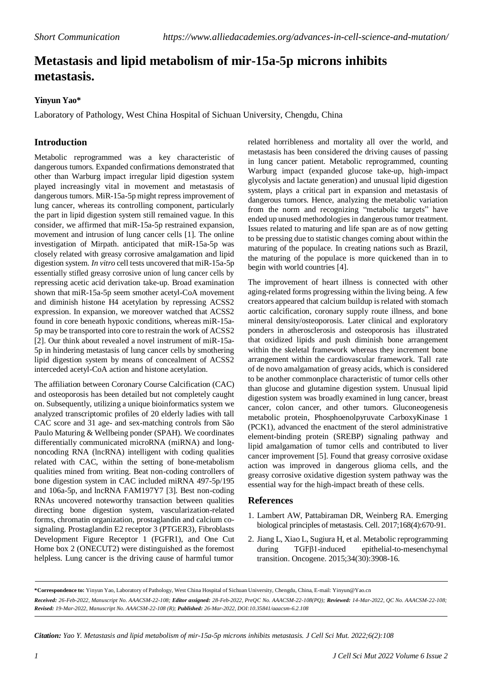## **Metastasis and lipid metabolism of mir-15a-5p microns inhibits metastasis.**

## **Yinyun Yao\***

Laboratory of Pathology, West China Hospital of Sichuan University, Chengdu, China

## **Introduction**

Metabolic reprogrammed was a key characteristic of dangerous tumors. Expanded confirmations demonstrated that other than Warburg impact irregular lipid digestion system played increasingly vital in movement and metastasis of dangerous tumors. MiR-15a-5p might repress improvement of lung cancer, whereas its controlling component, particularly the part in lipid digestion system still remained vague. In this consider, we affirmed that miR-15a-5p restrained expansion, movement and intrusion of lung cancer cells [1]. The online investigation of Mirpath. anticipated that miR-15a-5p was closely related with greasy corrosive amalgamation and lipid digestion system*. In vitro* cell tests uncovered that miR-15a-5p essentially stifled greasy corrosive union of lung cancer cells by repressing acetic acid derivation take-up. Broad examination shown that miR-15a-5p seem smother acetyl-CoA movement and diminish histone H4 acetylation by repressing ACSS2 expression. In expansion, we moreover watched that ACSS2 found in core beneath hypoxic conditions, whereas miR-15a-5p may be transported into core to restrain the work of ACSS2 [2]. Our think about revealed a novel instrument of miR-15a-5p in hindering metastasis of lung cancer cells by smothering lipid digestion system by means of concealment of ACSS2 interceded acetyl-CoA action and histone acetylation.

The affiliation between Coronary Course Calcification (CAC) and osteoporosis has been detailed but not completely caught on. Subsequently, utilizing a unique bioinformatics system we analyzed transcriptomic profiles of 20 elderly ladies with tall CAC score and 31 age- and sex-matching controls from São Paulo Maturing & Wellbeing ponder (SPAH). We coordinates differentially communicated microRNA (miRNA) and longnoncoding RNA (lncRNA) intelligent with coding qualities related with CAC, within the setting of bone-metabolism qualities mined from writing. Beat non-coding controllers of bone digestion system in CAC included miRNA 497-5p/195 and 106a-5p, and lncRNA FAM197Y7 [3]. Best non-coding RNAs uncovered noteworthy transaction between qualities directing bone digestion system, vascularization-related forms, chromatin organization, prostaglandin and calcium cosignaling. Prostaglandin E2 receptor 3 (PTGER3), Fibroblasts Development Figure Receptor 1 (FGFR1), and One Cut Home box 2 (ONECUT2) were distinguished as the foremost helpless. Lung cancer is the driving cause of harmful tumor

related horribleness and mortality all over the world, and metastasis has been considered the driving causes of passing in lung cancer patient. Metabolic reprogrammed, counting Warburg impact (expanded glucose take-up, high-impact glycolysis and lactate generation) and unusual lipid digestion system, plays a critical part in expansion and metastasis of dangerous tumors. Hence, analyzing the metabolic variation from the norm and recognizing "metabolic targets" have ended up unused methodologies in dangerous tumor treatment. Issues related to maturing and life span are as of now getting to be pressing due to statistic changes coming about within the maturing of the populace. In creating nations such as Brazil, the maturing of the populace is more quickened than in to begin with world countries [4].

The improvement of heart illness is connected with other aging-related forms progressing within the living being. A few creators appeared that calcium buildup isrelated with stomach aortic calcification, coronary supply route illness, and bone mineral density/osteoporosis. Later clinical and exploratory ponders in atherosclerosis and osteoporosis has illustrated that oxidized lipids and push diminish bone arrangement within the skeletal framework whereas they increment bone arrangement within the cardiovascular framework. Tall rate of de novo amalgamation of greasy acids, which is considered to be another commonplace characteristic of tumor cells other than glucose and glutamine digestion system. Unusual lipid digestion system was broadly examined in lung cancer, breast cancer, colon cancer, and other tumors. Gluconeogenesis metabolic protein, Phosphoenolpyruvate CarboxyKinase 1 (PCK1), advanced the enactment of the sterol administrative element-binding protein (SREBP) signaling pathway and lipid amalgamation of tumor cells and contributed to liver cancer improvement [5]. Found that greasy corrosive oxidase action was improved in dangerous glioma cells, and the greasy corrosive oxidative digestion system pathway was the essential way for the high-impact breath of these cells.

## **References**

- 1. Lambert AW, Pattabiraman DR, Weinberg RA. [Emerging](https://www.sciencedirect.com/science/article/pii/S0092867416316099) biological principles of [metastasis.](https://www.sciencedirect.com/science/article/pii/S0092867416316099) Cell. 2017;168(4):670-91.
- 2. Jiang L, Xiao L, Sugiura H, et al. Metabolic [reprogramming](https://www.nature.com/articles/onc2014321) during TGFβ1-induced [epithelial-to-mesenchymal](https://www.nature.com/articles/onc2014321) [transition.](https://www.nature.com/articles/onc2014321) Oncogene. 2015;34(30):3908-16.

**\*Correspondence to:** Yinyun Yao, Laboratory of Pathology, West China Hospital of Sichuan University, Chengdu, China, E-mail: [Yinyun@Yao.cn](mailto:Yinyun@Yao.cn) Received: 26-Feb-2022, Manuscript No. AAACSM-22-108; Editor assigned: 28-Feb-2022, PreQC No. AAACSM-22-108(PQ); Reviewed: 14-Mar-2022, QC No. AAACSM-22-108; *Revised: 19-Mar-2022, Manuscript No. AAACSM-22-108 (R); Published: 26-Mar-2022, DOI:10.35841/aaacsm-6.2.108*

*Citation: Yao Y. Metastasis and lipid metabolism of mir-15a-5p microns inhibits metastasis. J Cell Sci Mut. 2022;6(2):108*